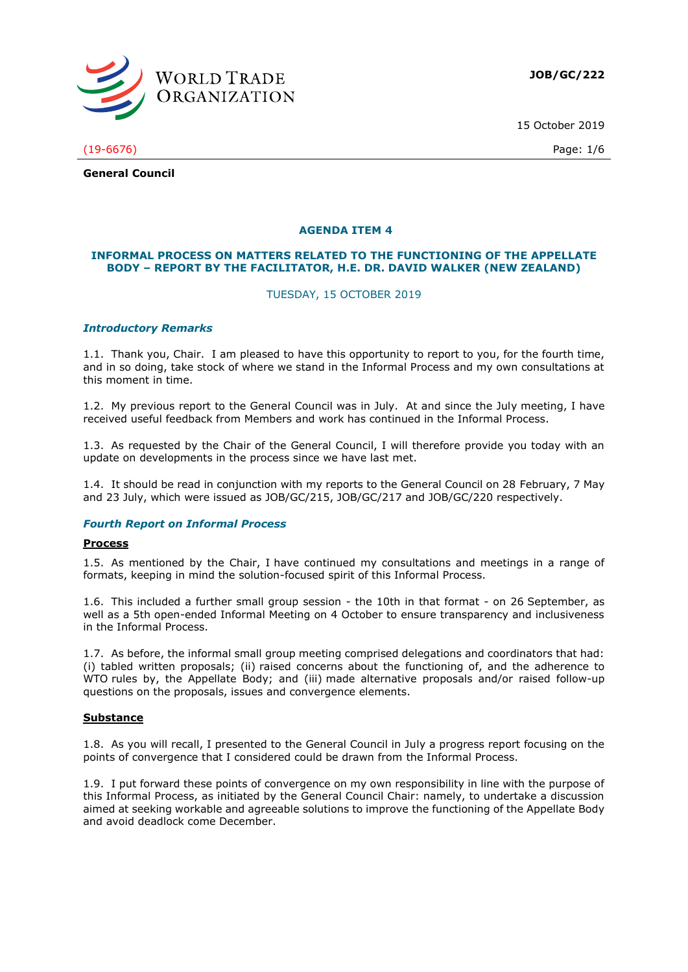

15 October 2019

(19-6676) Page: 1/6

**General Council**

# **AGENDA ITEM 4**

## **INFORMAL PROCESS ON MATTERS RELATED TO THE FUNCTIONING OF THE APPELLATE BODY – REPORT BY THE FACILITATOR, H.E. DR. DAVID WALKER (NEW ZEALAND)**

## TUESDAY, 15 OCTOBER 2019

## *Introductory Remarks*

1.1. Thank you, Chair. I am pleased to have this opportunity to report to you, for the fourth time, and in so doing, take stock of where we stand in the Informal Process and my own consultations at this moment in time.

1.2. My previous report to the General Council was in July. At and since the July meeting, I have received useful feedback from Members and work has continued in the Informal Process.

1.3. As requested by the Chair of the General Council, I will therefore provide you today with an update on developments in the process since we have last met.

1.4. It should be read in conjunction with my reports to the General Council on 28 February, 7 May and 23 July, which were issued as JOB/GC/215, JOB/GC/217 and JOB/GC/220 respectively.

## *Fourth Report on Informal Process*

#### **Process**

1.5. As mentioned by the Chair, I have continued my consultations and meetings in a range of formats, keeping in mind the solution-focused spirit of this Informal Process.

1.6. This included a further small group session - the 10th in that format - on 26 September, as well as a 5th open-ended Informal Meeting on 4 October to ensure transparency and inclusiveness in the Informal Process.

1.7. As before, the informal small group meeting comprised delegations and coordinators that had: (i) tabled written proposals; (ii) raised concerns about the functioning of, and the adherence to WTO rules by, the Appellate Body; and (iii) made alternative proposals and/or raised follow-up questions on the proposals, issues and convergence elements.

#### **Substance**

1.8. As you will recall, I presented to the General Council in July a progress report focusing on the points of convergence that I considered could be drawn from the Informal Process.

1.9. I put forward these points of convergence on my own responsibility in line with the purpose of this Informal Process, as initiated by the General Council Chair: namely, to undertake a discussion aimed at seeking workable and agreeable solutions to improve the functioning of the Appellate Body and avoid deadlock come December.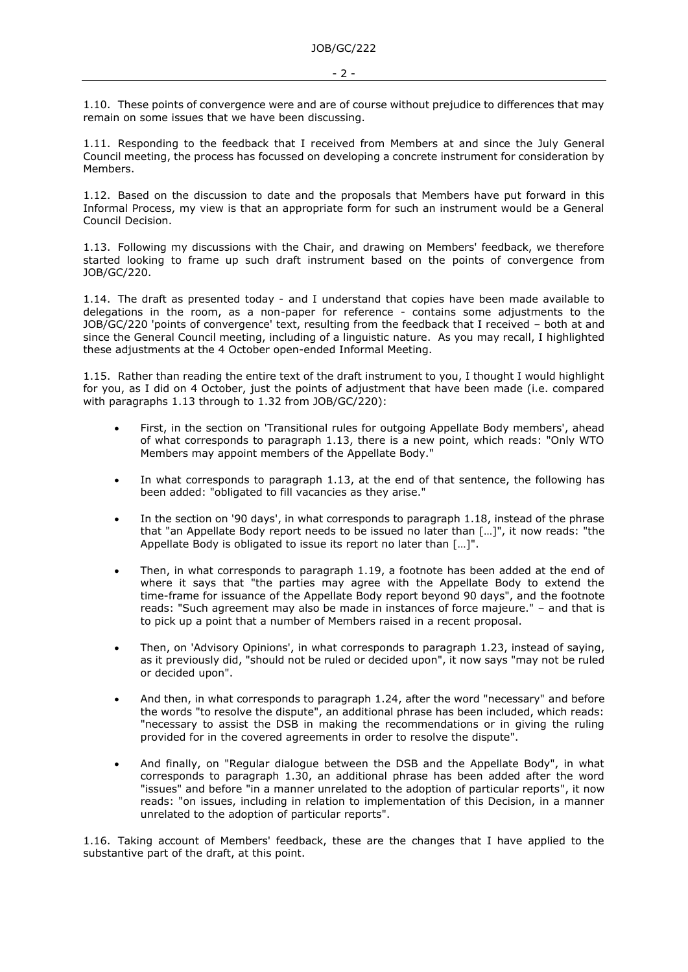1.10. These points of convergence were and are of course without prejudice to differences that may remain on some issues that we have been discussing.

1.11. Responding to the feedback that I received from Members at and since the July General Council meeting, the process has focussed on developing a concrete instrument for consideration by Members.

1.12. Based on the discussion to date and the proposals that Members have put forward in this Informal Process, my view is that an appropriate form for such an instrument would be a General Council Decision.

1.13. Following my discussions with the Chair, and drawing on Members' feedback, we therefore started looking to frame up such draft instrument based on the points of convergence from JOB/GC/220.

1.14. The draft as presented today - and I understand that copies have been made available to delegations in the room, as a non-paper for reference - contains some adjustments to the JOB/GC/220 'points of convergence' text, resulting from the feedback that I received – both at and since the General Council meeting, including of a linguistic nature. As you may recall, I highlighted these adjustments at the 4 October open-ended Informal Meeting.

1.15. Rather than reading the entire text of the draft instrument to you, I thought I would highlight for you, as I did on 4 October, just the points of adjustment that have been made (i.e. compared with paragraphs 1.13 through to 1.32 from JOB/GC/220):

- First, in the section on 'Transitional rules for outgoing Appellate Body members', ahead of what corresponds to paragraph 1.13, there is a new point, which reads: "Only WTO Members may appoint members of the Appellate Body."
- In what corresponds to paragraph 1.13, at the end of that sentence, the following has been added: "obligated to fill vacancies as they arise."
- In the section on '90 days', in what corresponds to paragraph 1.18, instead of the phrase that "an Appellate Body report needs to be issued no later than […]", it now reads: "the Appellate Body is obligated to issue its report no later than […]".
- Then, in what corresponds to paragraph 1.19, a footnote has been added at the end of where it says that "the parties may agree with the Appellate Body to extend the time-frame for issuance of the Appellate Body report beyond 90 days", and the footnote reads: "Such agreement may also be made in instances of force majeure." – and that is to pick up a point that a number of Members raised in a recent proposal.
- Then, on 'Advisory Opinions', in what corresponds to paragraph 1.23, instead of saying, as it previously did, "should not be ruled or decided upon", it now says "may not be ruled or decided upon".
- And then, in what corresponds to paragraph 1.24, after the word "necessary" and before the words "to resolve the dispute", an additional phrase has been included, which reads: "necessary to assist the DSB in making the recommendations or in giving the ruling provided for in the covered agreements in order to resolve the dispute".
- And finally, on "Regular dialogue between the DSB and the Appellate Body", in what corresponds to paragraph 1.30, an additional phrase has been added after the word "issues" and before "in a manner unrelated to the adoption of particular reports", it now reads: "on issues, including in relation to implementation of this Decision, in a manner unrelated to the adoption of particular reports".

1.16. Taking account of Members' feedback, these are the changes that I have applied to the substantive part of the draft, at this point.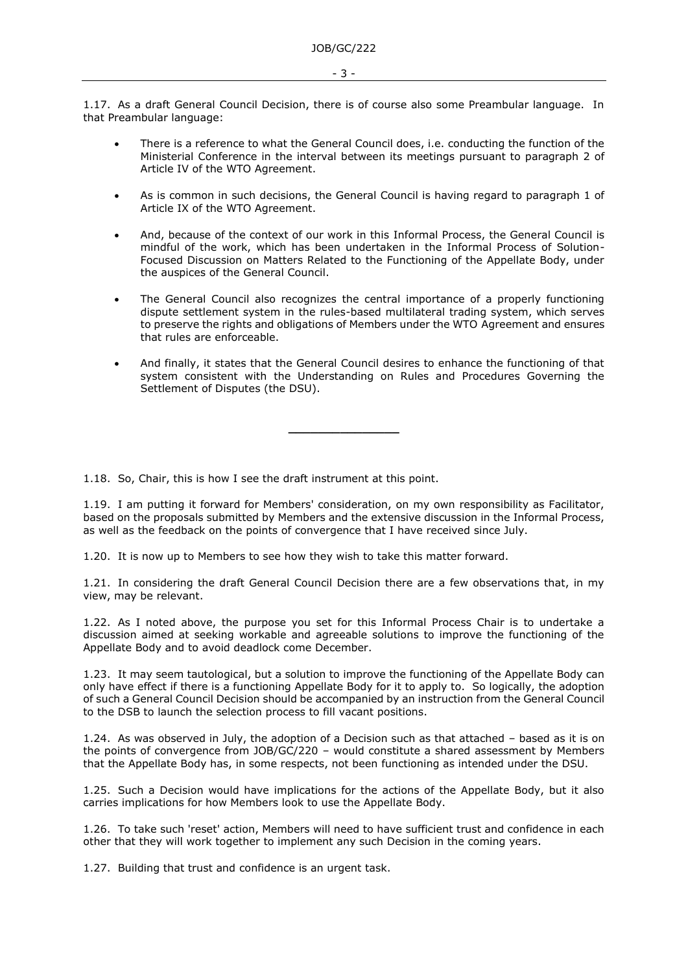1.17. As a draft General Council Decision, there is of course also some Preambular language. In that Preambular language:

- There is a reference to what the General Council does, i.e. conducting the function of the Ministerial Conference in the interval between its meetings pursuant to paragraph 2 of Article IV of the WTO Agreement.
- As is common in such decisions, the General Council is having regard to paragraph 1 of Article IX of the WTO Agreement.
- And, because of the context of our work in this Informal Process, the General Council is mindful of the work, which has been undertaken in the Informal Process of Solution-Focused Discussion on Matters Related to the Functioning of the Appellate Body, under the auspices of the General Council.
- The General Council also recognizes the central importance of a properly functioning dispute settlement system in the rules-based multilateral trading system, which serves to preserve the rights and obligations of Members under the WTO Agreement and ensures that rules are enforceable.
- And finally, it states that the General Council desires to enhance the functioning of that system consistent with the Understanding on Rules and Procedures Governing the Settlement of Disputes (the DSU).

1.18. So, Chair, this is how I see the draft instrument at this point.

1.19. I am putting it forward for Members' consideration, on my own responsibility as Facilitator, based on the proposals submitted by Members and the extensive discussion in the Informal Process, as well as the feedback on the points of convergence that I have received since July.

**\_\_\_\_\_\_\_\_\_\_\_\_\_\_\_**

1.20. It is now up to Members to see how they wish to take this matter forward.

1.21. In considering the draft General Council Decision there are a few observations that, in my view, may be relevant.

1.22. As I noted above, the purpose you set for this Informal Process Chair is to undertake a discussion aimed at seeking workable and agreeable solutions to improve the functioning of the Appellate Body and to avoid deadlock come December.

1.23. It may seem tautological, but a solution to improve the functioning of the Appellate Body can only have effect if there is a functioning Appellate Body for it to apply to. So logically, the adoption of such a General Council Decision should be accompanied by an instruction from the General Council to the DSB to launch the selection process to fill vacant positions.

1.24. As was observed in July, the adoption of a Decision such as that attached – based as it is on the points of convergence from JOB/GC/220 – would constitute a shared assessment by Members that the Appellate Body has, in some respects, not been functioning as intended under the DSU.

1.25. Such a Decision would have implications for the actions of the Appellate Body, but it also carries implications for how Members look to use the Appellate Body.

1.26. To take such 'reset' action, Members will need to have sufficient trust and confidence in each other that they will work together to implement any such Decision in the coming years.

1.27. Building that trust and confidence is an urgent task.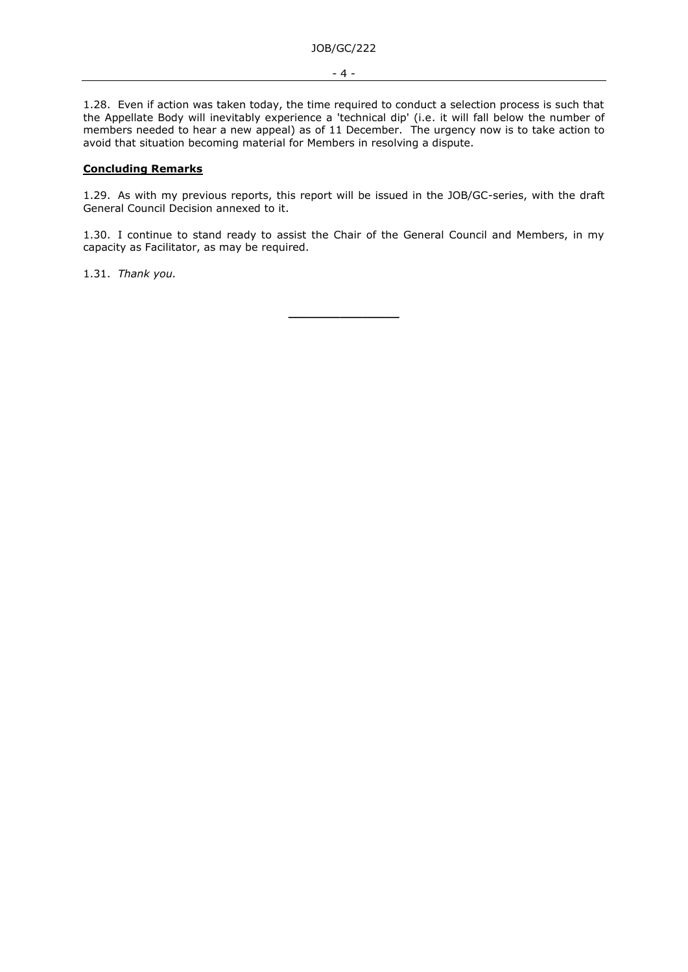1.28. Even if action was taken today, the time required to conduct a selection process is such that the Appellate Body will inevitably experience a 'technical dip' (i.e. it will fall below the number of members needed to hear a new appeal) as of 11 December. The urgency now is to take action to avoid that situation becoming material for Members in resolving a dispute.

# **Concluding Remarks**

1.29. As with my previous reports, this report will be issued in the JOB/GC-series, with the draft General Council Decision annexed to it.

1.30. I continue to stand ready to assist the Chair of the General Council and Members, in my capacity as Facilitator, as may be required.

1.31. *Thank you.*

**\_\_\_\_\_\_\_\_\_\_\_\_\_\_\_**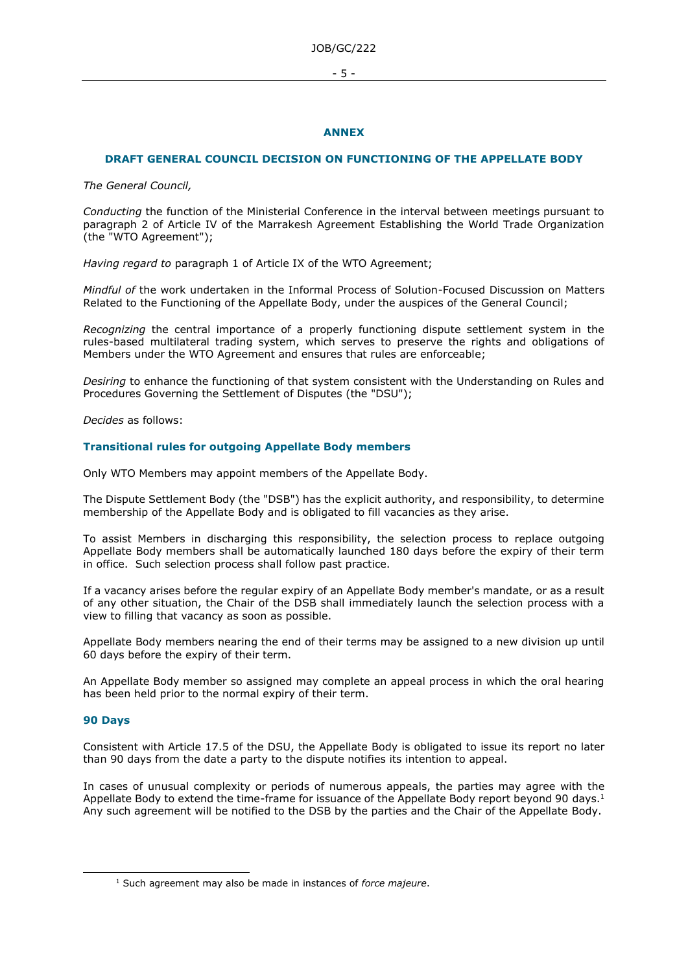#### - 5 -

## **ANNEX**

## **DRAFT GENERAL COUNCIL DECISION ON FUNCTIONING OF THE APPELLATE BODY**

*The General Council,* 

*Conducting* the function of the Ministerial Conference in the interval between meetings pursuant to paragraph 2 of Article IV of the Marrakesh Agreement Establishing the World Trade Organization (the "WTO Agreement");

*Having regard to* paragraph 1 of Article IX of the WTO Agreement;

*Mindful of* the work undertaken in the Informal Process of Solution-Focused Discussion on Matters Related to the Functioning of the Appellate Body, under the auspices of the General Council;

*Recognizing* the central importance of a properly functioning dispute settlement system in the rules-based multilateral trading system, which serves to preserve the rights and obligations of Members under the WTO Agreement and ensures that rules are enforceable;

*Desiring* to enhance the functioning of that system consistent with the Understanding on Rules and Procedures Governing the Settlement of Disputes (the "DSU");

*Decides* as follows:

## **Transitional rules for outgoing Appellate Body members**

Only WTO Members may appoint members of the Appellate Body.

The Dispute Settlement Body (the "DSB") has the explicit authority, and responsibility, to determine membership of the Appellate Body and is obligated to fill vacancies as they arise.

To assist Members in discharging this responsibility, the selection process to replace outgoing Appellate Body members shall be automatically launched 180 days before the expiry of their term in office. Such selection process shall follow past practice.

If a vacancy arises before the regular expiry of an Appellate Body member's mandate, or as a result of any other situation, the Chair of the DSB shall immediately launch the selection process with a view to filling that vacancy as soon as possible.

Appellate Body members nearing the end of their terms may be assigned to a new division up until 60 days before the expiry of their term.

An Appellate Body member so assigned may complete an appeal process in which the oral hearing has been held prior to the normal expiry of their term.

#### **90 Days**

Consistent with Article 17.5 of the DSU, the Appellate Body is obligated to issue its report no later than 90 days from the date a party to the dispute notifies its intention to appeal.

In cases of unusual complexity or periods of numerous appeals, the parties may agree with the Appellate Body to extend the time-frame for issuance of the Appellate Body report beyond 90 days.<sup>1</sup> Any such agreement will be notified to the DSB by the parties and the Chair of the Appellate Body.

<sup>1</sup> Such agreement may also be made in instances of *force majeure*.